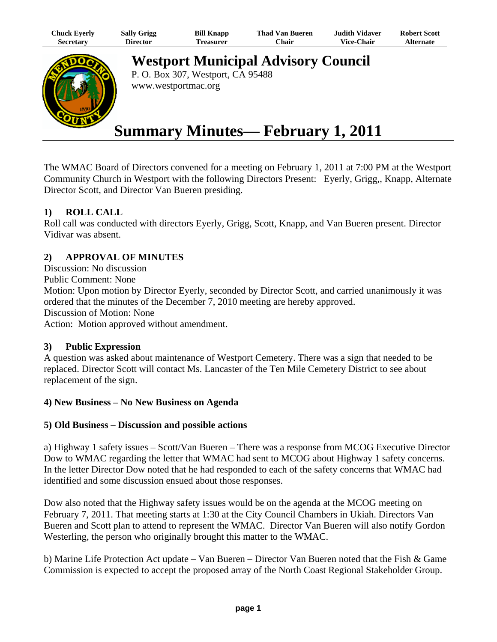| Chuck Eyerly | <b>Sally Grigg</b> | <b>Bill Knapp</b> | Thad Van Bueren | <b>Judith Vidaver</b> | <b>Robert Scott</b> |
|--------------|--------------------|-------------------|-----------------|-----------------------|---------------------|
| Secretary    | Director           | Treasurer         | ∵hair           | <b>Vice-Chair</b>     | <b>Alternate</b>    |



**Westport Municipal Advisory Council** P. O. Box 307, Westport, CA 95488

www.westportmac.org

# **Summary Minutes— February 1, 2011**

The WMAC Board of Directors convened for a meeting on February 1, 2011 at 7:00 PM at the Westport Community Church in Westport with the following Directors Present: Eyerly, Grigg,, Knapp, Alternate Director Scott, and Director Van Bueren presiding.

## **1) ROLL CALL**

Roll call was conducted with directors Eyerly, Grigg, Scott, Knapp, and Van Bueren present. Director Vidivar was absent.

## **2) APPROVAL OF MINUTES**

Discussion: No discussion Public Comment: None Motion: Upon motion by Director Eyerly, seconded by Director Scott, and carried unanimously it was ordered that the minutes of the December 7, 2010 meeting are hereby approved. Discussion of Motion: None Action: Motion approved without amendment.

## **3) Public Expression**

A question was asked about maintenance of Westport Cemetery. There was a sign that needed to be replaced. Director Scott will contact Ms. Lancaster of the Ten Mile Cemetery District to see about replacement of the sign.

## **4) New Business – No New Business on Agenda**

## **5) Old Business – Discussion and possible actions**

a) Highway 1 safety issues – Scott/Van Bueren – There was a response from MCOG Executive Director Dow to WMAC regarding the letter that WMAC had sent to MCOG about Highway 1 safety concerns. In the letter Director Dow noted that he had responded to each of the safety concerns that WMAC had identified and some discussion ensued about those responses.

Dow also noted that the Highway safety issues would be on the agenda at the MCOG meeting on February 7, 2011. That meeting starts at 1:30 at the City Council Chambers in Ukiah. Directors Van Bueren and Scott plan to attend to represent the WMAC. Director Van Bueren will also notify Gordon Westerling, the person who originally brought this matter to the WMAC.

b) Marine Life Protection Act update – Van Bueren – Director Van Bueren noted that the Fish & Game Commission is expected to accept the proposed array of the North Coast Regional Stakeholder Group.